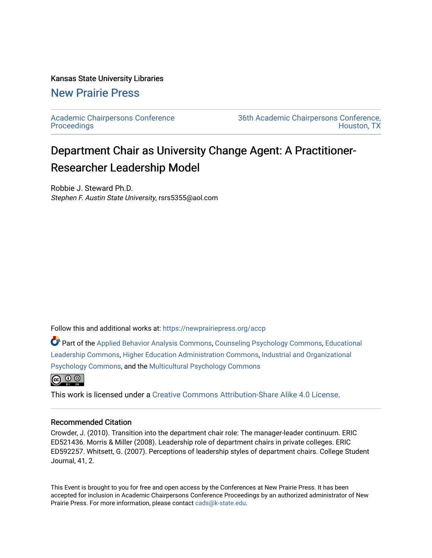## Kansas State University Libraries

## [New Prairie Press](https://newprairiepress.org/)

[Academic Chairpersons Conference](https://newprairiepress.org/accp)  **Proceedings** 

[36th Academic Chairpersons Conference,](https://newprairiepress.org/accp/2019)  [Houston, TX](https://newprairiepress.org/accp/2019) 

## Department Chair as University Change Agent: A Practitioner-Researcher Leadership Model

Robbie J. Steward Ph.D. Stephen F. Austin State University, rsrs5355@aol.com

Follow this and additional works at: [https://newprairiepress.org/accp](https://newprairiepress.org/accp?utm_source=newprairiepress.org%2Faccp%2F2019%2Fleadership%2F6&utm_medium=PDF&utm_campaign=PDFCoverPages) 

Part of the [Applied Behavior Analysis Commons](http://network.bepress.com/hgg/discipline/1235?utm_source=newprairiepress.org%2Faccp%2F2019%2Fleadership%2F6&utm_medium=PDF&utm_campaign=PDFCoverPages), [Counseling Psychology Commons,](http://network.bepress.com/hgg/discipline/1044?utm_source=newprairiepress.org%2Faccp%2F2019%2Fleadership%2F6&utm_medium=PDF&utm_campaign=PDFCoverPages) [Educational](http://network.bepress.com/hgg/discipline/1230?utm_source=newprairiepress.org%2Faccp%2F2019%2Fleadership%2F6&utm_medium=PDF&utm_campaign=PDFCoverPages) [Leadership Commons,](http://network.bepress.com/hgg/discipline/1230?utm_source=newprairiepress.org%2Faccp%2F2019%2Fleadership%2F6&utm_medium=PDF&utm_campaign=PDFCoverPages) [Higher Education Administration Commons,](http://network.bepress.com/hgg/discipline/791?utm_source=newprairiepress.org%2Faccp%2F2019%2Fleadership%2F6&utm_medium=PDF&utm_campaign=PDFCoverPages) [Industrial and Organizational](http://network.bepress.com/hgg/discipline/412?utm_source=newprairiepress.org%2Faccp%2F2019%2Fleadership%2F6&utm_medium=PDF&utm_campaign=PDFCoverPages) [Psychology Commons,](http://network.bepress.com/hgg/discipline/412?utm_source=newprairiepress.org%2Faccp%2F2019%2Fleadership%2F6&utm_medium=PDF&utm_campaign=PDFCoverPages) and the [Multicultural Psychology Commons](http://network.bepress.com/hgg/discipline/1237?utm_source=newprairiepress.org%2Faccp%2F2019%2Fleadership%2F6&utm_medium=PDF&utm_campaign=PDFCoverPages)



This work is licensed under a [Creative Commons Attribution-Share Alike 4.0 License.](https://creativecommons.org/licenses/by-sa/4.0/)

## Recommended Citation

Crowder, J. (2010). Transition into the department chair role: The manager-leader continuum. ERIC ED521436. Morris & Miller (2008). Leadership role of department chairs in private colleges. ERIC ED592257. Whitsett, G. (2007). Perceptions of leadership styles of department chairs. College Student Journal, 41, 2.

This Event is brought to you for free and open access by the Conferences at New Prairie Press. It has been accepted for inclusion in Academic Chairpersons Conference Proceedings by an authorized administrator of New Prairie Press. For more information, please contact [cads@k-state.edu.](mailto:cads@k-state.edu)